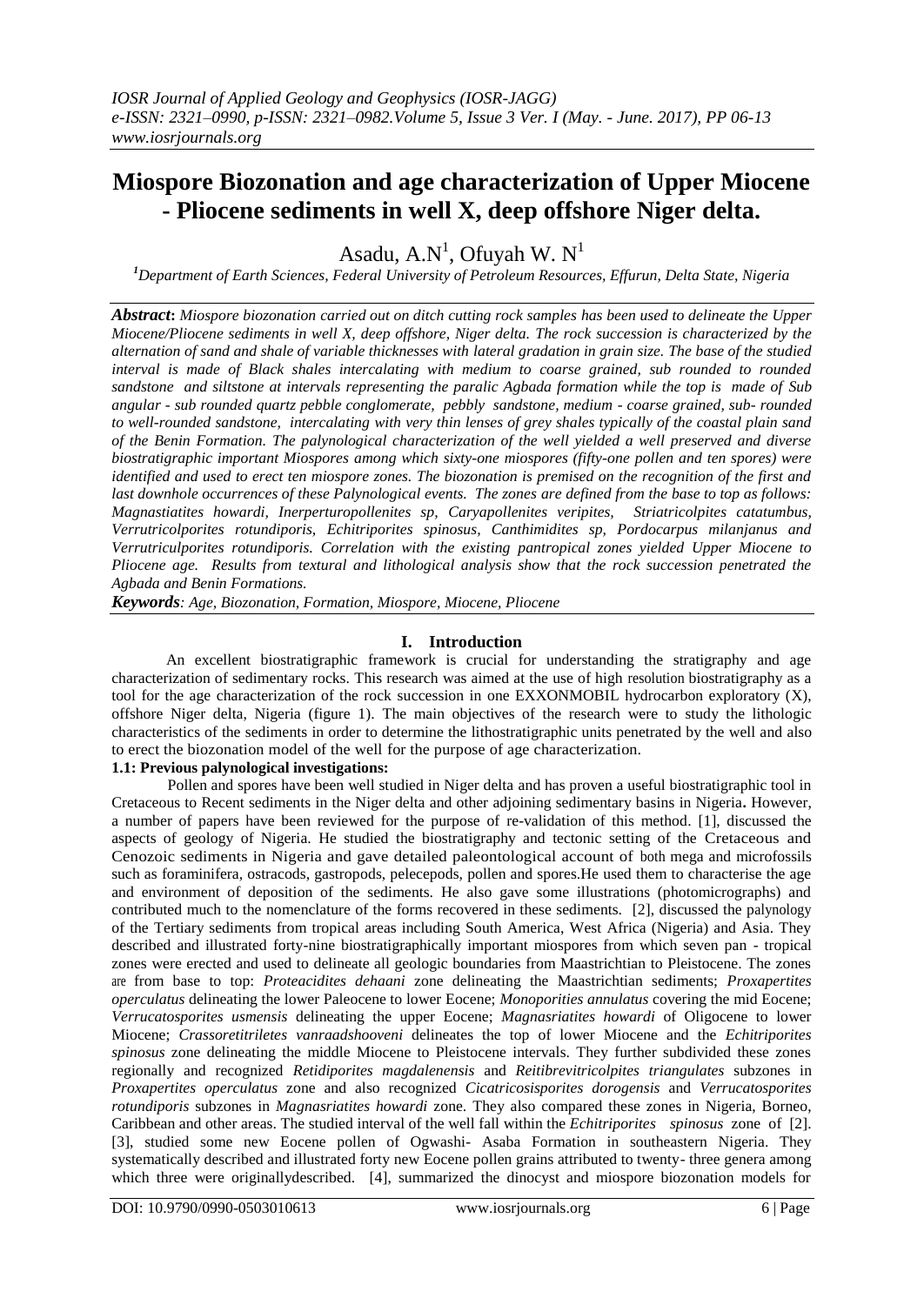# **Miospore Biozonation and age characterization of Upper Miocene - Pliocene sediments in well X, deep offshore Niger delta.**

Asadu, A.N<sup>1</sup>, Ofuyah W. N<sup>1</sup>

*<sup>1</sup>Department of Earth Sciences, Federal University of Petroleum Resources, Effurun, Delta State, Nigeria*

*Abstract***:** *Miospore biozonation carried out on ditch cutting rock samples has been used to delineate the Upper Miocene/Pliocene sediments in well X, deep offshore, Niger delta. The rock succession is characterized by the alternation of sand and shale of variable thicknesses with lateral gradation in grain size. The base of the studied interval is made of Black shales intercalating with medium to coarse grained, sub rounded to rounded sandstone and siltstone at intervals representing the paralic Agbada formation while the top is made of Sub angular - sub rounded quartz pebble conglomerate, pebbly sandstone, medium - coarse grained, sub- rounded to well-rounded sandstone, intercalating with very thin lenses of grey shales typically of the coastal plain sand of the Benin Formation. The palynological characterization of the well yielded a well preserved and diverse biostratigraphic important Miospores among which sixty-one miospores (fifty-one pollen and ten spores) were identified and used to erect ten miospore zones. The biozonation is premised on the recognition of the first and last downhole occurrences of these Palynological events. The zones are defined from the base to top as follows: Magnastiatites howardi, Inerperturopollenites sp, Caryapollenites veripites, Striatricolpites catatumbus, Verrutricolporites rotundiporis, Echitriporites spinosus, Canthimidites sp, Pordocarpus milanjanus and Verrutriculporites rotundiporis. Correlation with the existing pantropical zones yielded Upper Miocene to Pliocene age. Results from textural and lithological analysis show that the rock succession penetrated the Agbada and Benin Formations.*

*Keywords: Age, Biozonation, Formation, Miospore, Miocene, Pliocene*

## **I. Introduction**

 An excellent biostratigraphic framework is crucial for understanding the stratigraphy and age characterization of sedimentary rocks. This research was aimed at the use of high resolution biostratigraphy as a tool for the age characterization of the rock succession in one EXXONMOBIL hydrocarbon exploratory (X), offshore Niger delta, Nigeria (figure 1). The main objectives of the research were to study the lithologic characteristics of the sediments in order to determine the lithostratigraphic units penetrated by the well and also to erect the biozonation model of the well for the purpose of age characterization.

## **1.1: Previous palynological investigations:**

Pollen and spores have been well studied in Niger delta and has proven a useful biostratigraphic tool in Cretaceous to Recent sediments in the Niger delta and other adjoining sedimentary basins in Nigeria**.** However, a number of papers have been reviewed for the purpose of re-validation of this method. [1], discussed the aspects of geology of Nigeria. He studied the biostratigraphy and tectonic setting of the Cretaceous and Cenozoic sediments in Nigeria and gave detailed paleontological account of both mega and microfossils such as foraminifera, ostracods, gastropods, pelecepods, pollen and spores.He used them to characterise the age and environment of deposition of the sediments. He also gave some illustrations (photomicrographs) and contributed much to the nomenclature of the forms recovered in these sediments. [2], discussed the palynology of the Tertiary sediments from tropical areas including South America, West Africa (Nigeria) and Asia. They described and illustrated forty-nine biostratigraphically important miospores from which seven pan - tropical zones were erected and used to delineate all geologic boundaries from Maastrichtian to Pleistocene. The zones are from base to top: *Proteacidites dehaani* zone delineating the Maastrichtian sediments; *Proxapertites operculatus* delineating the lower Paleocene to lower Eocene; *Monoporities annulatus* covering the mid Eocene; *Verrucatosporites usmensis* delineating the upper Eocene; *Magnasriatites howardi* of Oligocene to lower Miocene; *Crassoretitriletes vanraadshooveni* delineates the top of lower Miocene and the *Echitriporites spinosus* zone delineating the middle Miocene to Pleistocene intervals. They further subdivided these zones regionally and recognized *Retidiporites magdalenensis* and *Reitibrevitricolpites triangulates* subzones in *Proxapertites operculatus* zone and also recognized *Cicatricosisporites dorogensis* and *Verrucatosporites rotundiporis* subzones in *Magnasriatites howardi* zone. They also compared these zones in Nigeria, Borneo, Caribbean and other areas. The studied interval of the well fall within the *Echitriporites spinosus* zone of [2]. [3], studied some new Eocene pollen of Ogwashi- Asaba Formation in southeastern Nigeria. They systematically described and illustrated forty new Eocene pollen grains attributed to twenty- three genera among which three were originallydescribed. [4], summarized the dinocyst and miospore biozonation models for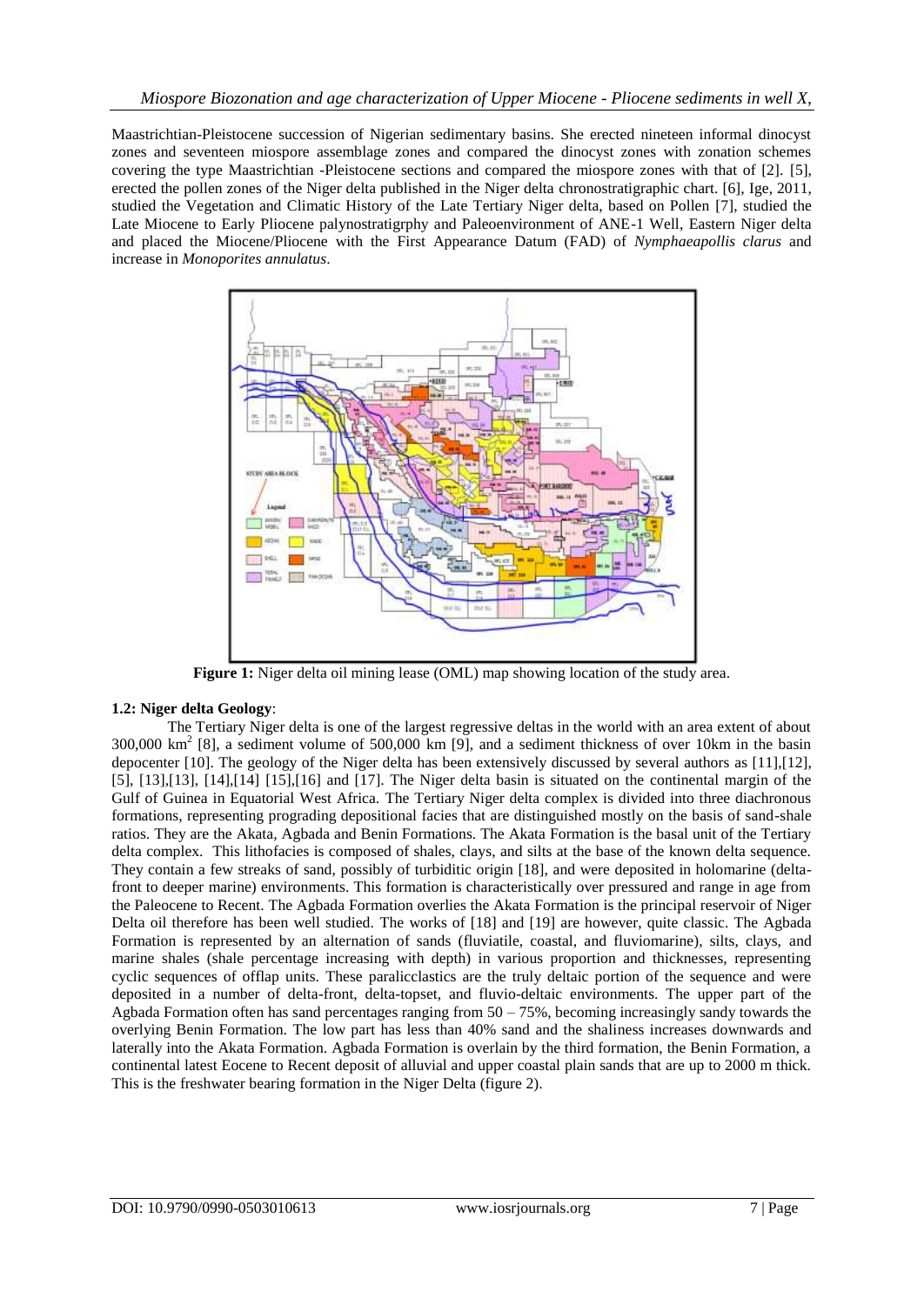Maastrichtian-Pleistocene succession of Nigerian sedimentary basins. She erected nineteen informal dinocyst zones and seventeen miospore assemblage zones and compared the dinocyst zones with zonation schemes covering the type Maastrichtian -Pleistocene sections and compared the miospore zones with that of [2]. [5], erected the pollen zones of the Niger delta published in the Niger delta chronostratigraphic chart. [6], Ige, 2011, studied the Vegetation and Climatic History of the Late Tertiary Niger delta, based on Pollen [7], studied the Late Miocene to Early Pliocene palynostratigrphy and Paleoenvironment of ANE-1 Well, Eastern Niger delta and placed the Miocene/Pliocene with the First Appearance Datum (FAD) of *Nymphaeapollis clarus* and increase in *Monoporites annulatus*.



Figure 1: Niger delta oil mining lease (OML) map showing location of the study area.

## **1.2: Niger delta Geology**:

The Tertiary Niger delta is one of the largest regressive deltas in the world with an area extent of about  $300,000 \text{ km}^2$  [8], a sediment volume of  $500,000 \text{ km}$  [9], and a sediment thickness of over 10km in the basin depocenter [10]. The geology of the Niger delta has been extensively discussed by several authors as [11],[12], [5], [13], [13], [14], [14] [15], [16] and [17]. The Niger delta basin is situated on the continental margin of the Gulf of Guinea in Equatorial West Africa. The Tertiary Niger delta complex is divided into three diachronous formations, representing prograding depositional facies that are distinguished mostly on the basis of sand-shale ratios. They are the Akata, Agbada and Benin Formations. The Akata Formation is the basal unit of the Tertiary delta complex. This lithofacies is composed of shales, clays, and silts at the base of the known delta sequence. They contain a few streaks of sand, possibly of turbiditic origin [18], and were deposited in holomarine (deltafront to deeper marine) environments. This formation is characteristically over pressured and range in age from the Paleocene to Recent. The Agbada Formation overlies the Akata Formation is the principal reservoir of Niger Delta oil therefore has been well studied. The works of [18] and [19] are however, quite classic. The Agbada Formation is represented by an alternation of sands (fluviatile, coastal, and fluviomarine), silts, clays, and marine shales (shale percentage increasing with depth) in various proportion and thicknesses, representing cyclic sequences of offlap units. These paralicclastics are the truly deltaic portion of the sequence and were deposited in a number of delta-front, delta-topset, and fluvio-deltaic environments. The upper part of the Agbada Formation often has sand percentages ranging from  $50 - 75\%$ , becoming increasingly sandy towards the overlying Benin Formation. The low part has less than 40% sand and the shaliness increases downwards and laterally into the Akata Formation. Agbada Formation is overlain by the third formation, the Benin Formation, a continental latest Eocene to Recent deposit of alluvial and upper coastal plain sands that are up to 2000 m thick. This is the freshwater bearing formation in the Niger Delta (figure 2).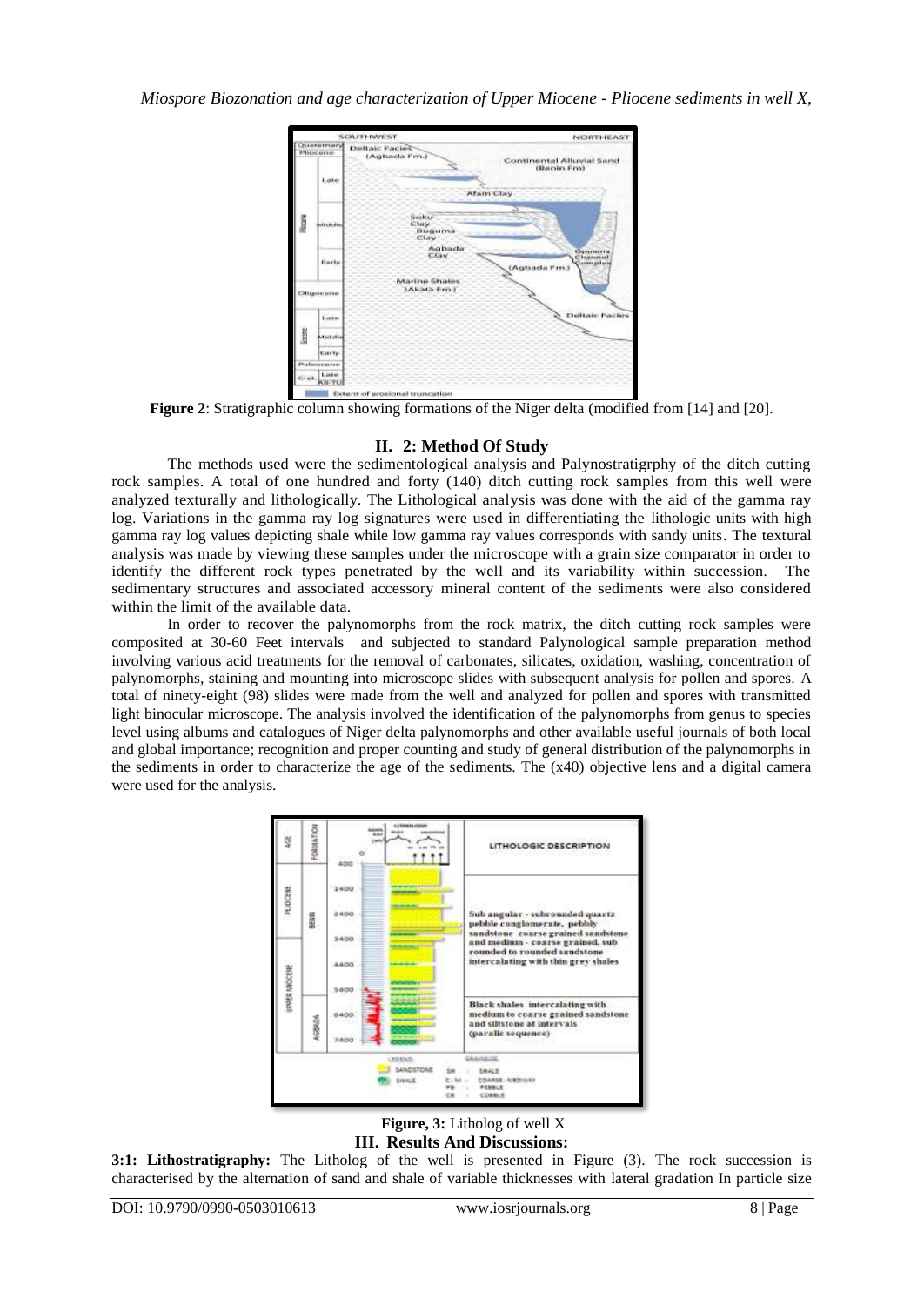

**Figure 2**: Stratigraphic column showing formations of the Niger delta (modified from [14] and [20].

## **II. 2: Method Of Study**

The methods used were the sedimentological analysis and Palynostratigrphy of the ditch cutting rock samples. A total of one hundred and forty (140) ditch cutting rock samples from this well were analyzed texturally and lithologically. The Lithological analysis was done with the aid of the gamma ray log. Variations in the gamma ray log signatures were used in differentiating the lithologic units with high gamma ray log values depicting shale while low gamma ray values corresponds with sandy units. The textural analysis was made by viewing these samples under the microscope with a grain size comparator in order to identify the different rock types penetrated by the well and its variability within succession. The sedimentary structures and associated accessory mineral content of the sediments were also considered within the limit of the available data.

In order to recover the palynomorphs from the rock matrix, the ditch cutting rock samples were composited at 30-60 Feet intervals and subjected to standard Palynological sample preparation method involving various acid treatments for the removal of carbonates, silicates, oxidation, washing, concentration of palynomorphs, staining and mounting into microscope slides with subsequent analysis for pollen and spores. A total of ninety-eight (98) slides were made from the well and analyzed for pollen and spores with transmitted light binocular microscope. The analysis involved the identification of the palynomorphs from genus to species level using albums and catalogues of Niger delta palynomorphs and other available useful journals of both local and global importance; recognition and proper counting and study of general distribution of the palynomorphs in the sediments in order to characterize the age of the sediments. The (x40) objective lens and a digital camera were used for the analysis.



 **Figure, 3:** Litholog of well X **III. Results And Discussions:**

**3:1: Lithostratigraphy:** The Litholog of the well is presented in Figure (3). The rock succession is characterised by the alternation of sand and shale of variable thicknesses with lateral gradation In particle size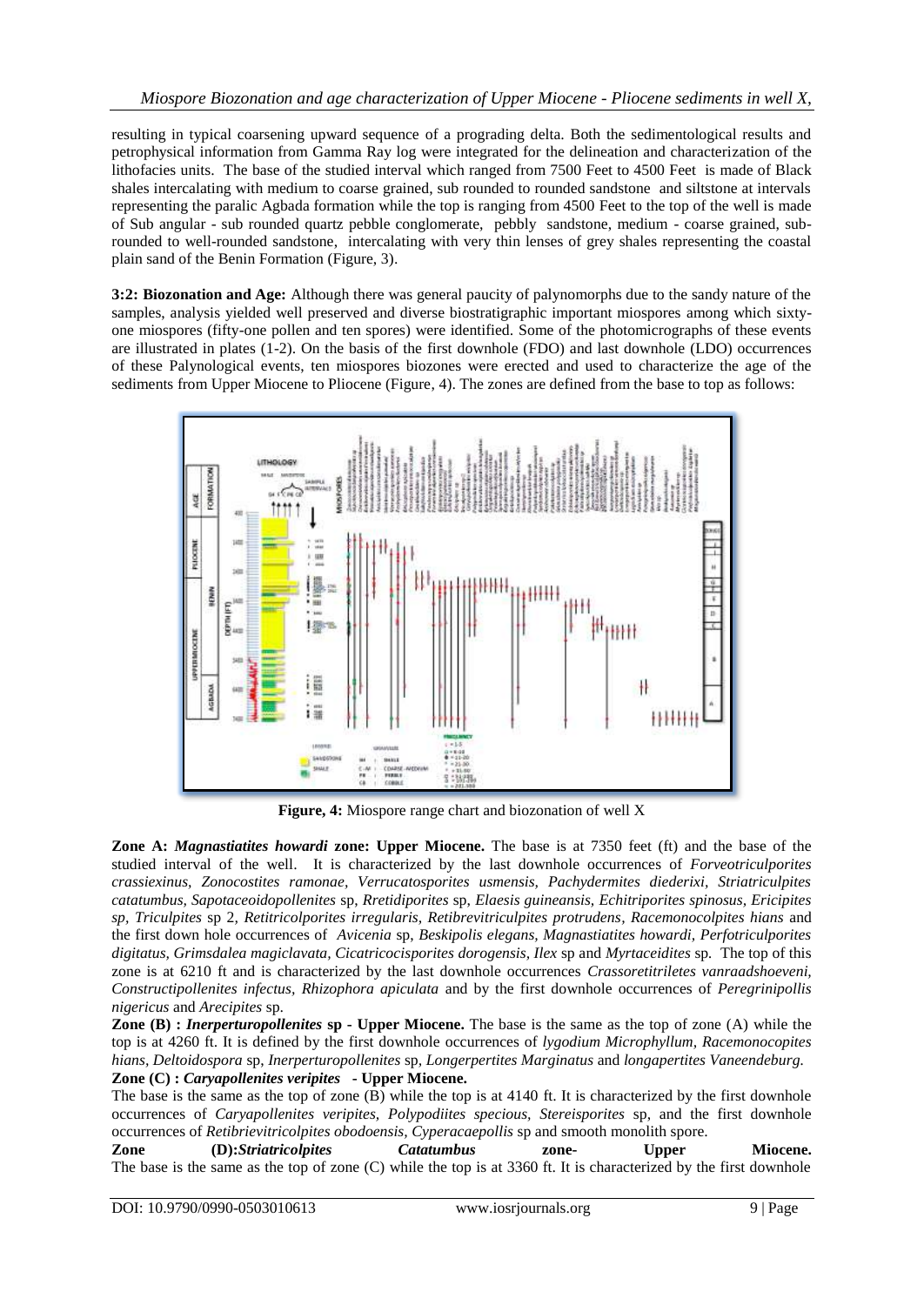resulting in typical coarsening upward sequence of a prograding delta. Both the sedimentological results and petrophysical information from Gamma Ray log were integrated for the delineation and characterization of the lithofacies units. The base of the studied interval which ranged from 7500 Feet to 4500 Feet is made of Black shales intercalating with medium to coarse grained, sub rounded to rounded sandstone and siltstone at intervals representing the paralic Agbada formation while the top is ranging from 4500 Feet to the top of the well is made of Sub angular - sub rounded quartz pebble conglomerate, pebbly sandstone, medium - coarse grained, subrounded to well-rounded sandstone, intercalating with very thin lenses of grey shales representing the coastal plain sand of the Benin Formation (Figure, 3).

**3:2: Biozonation and Age:** Although there was general paucity of palynomorphs due to the sandy nature of the samples, analysis yielded well preserved and diverse biostratigraphic important miospores among which sixtyone miospores (fifty-one pollen and ten spores) were identified. Some of the photomicrographs of these events are illustrated in plates (1-2). On the basis of the first downhole (FDO) and last downhole (LDO) occurrences of these Palynological events, ten miospores biozones were erected and used to characterize the age of the sediments from Upper Miocene to Pliocene (Figure, 4). The zones are defined from the base to top as follows:



**Figure, 4:** Miospore range chart and biozonation of well X

**Zone A:** *Magnastiatites howardi* **zone: Upper Miocene.** The base is at 7350 feet (ft) and the base of the studied interval of the well. It is characterized by the last downhole occurrences of *Forveotriculporites crassiexinus, Zonocostites ramonae, Verrucatosporites usmensis, Pachydermites diederixi, Striatriculpites catatumbus, Sapotaceoidopollenites* sp, *Rretidiporites* sp, *Elaesis guineansis, Echitriporites spinosus, Ericipites sp, Triculpites* sp 2*, Retitricolporites irregularis, Retibrevitriculpites protrudens, Racemonocolpites hians* and the first down hole occurrences of *Avicenia* sp, *Beskipolis elegans, Magnastiatites howardi, Perfotriculporites digitatus, Grimsdalea magiclavata, Cicatricocisporites dorogensis, Ilex* sp and *Myrtaceidites* sp*.* The top of this zone is at 6210 ft and is characterized by the last downhole occurrences *Crassoretitriletes vanraadshoeveni, Constructipollenites infectus, Rhizophora apiculata* and by the first downhole occurrences of *Peregrinipollis nigericus* and *Arecipites* sp.

**Zone (B) :** *Inerperturopollenites* **sp - Upper Miocene.** The base is the same as the top of zone (A) while the top is at 4260 ft. It is defined by the first downhole occurrences of *lygodium Microphyllum, Racemonocopites hians, Deltoidospora* sp, *Inerperturopollenites* sp*, Longerpertites Marginatus* and *longapertites Vaneendeburg.* **Zone (C) :** *Caryapollenites veripites* **- Upper Miocene.**

The base is the same as the top of zone (B) while the top is at 4140 ft. It is characterized by the first downhole occurrences of *Caryapollenites veripites, Polypodiites specious, Stereisporites* sp, and the first downhole occurrences of *Retibrievitricolpites obodoensis, Cyperacaepollis* sp and smooth monolith spore.

**Zone (D):***Striatricolpites Catatumbus* **zone- Upper Miocene.**  The base is the same as the top of zone (C) while the top is at 3360 ft. It is characterized by the first downhole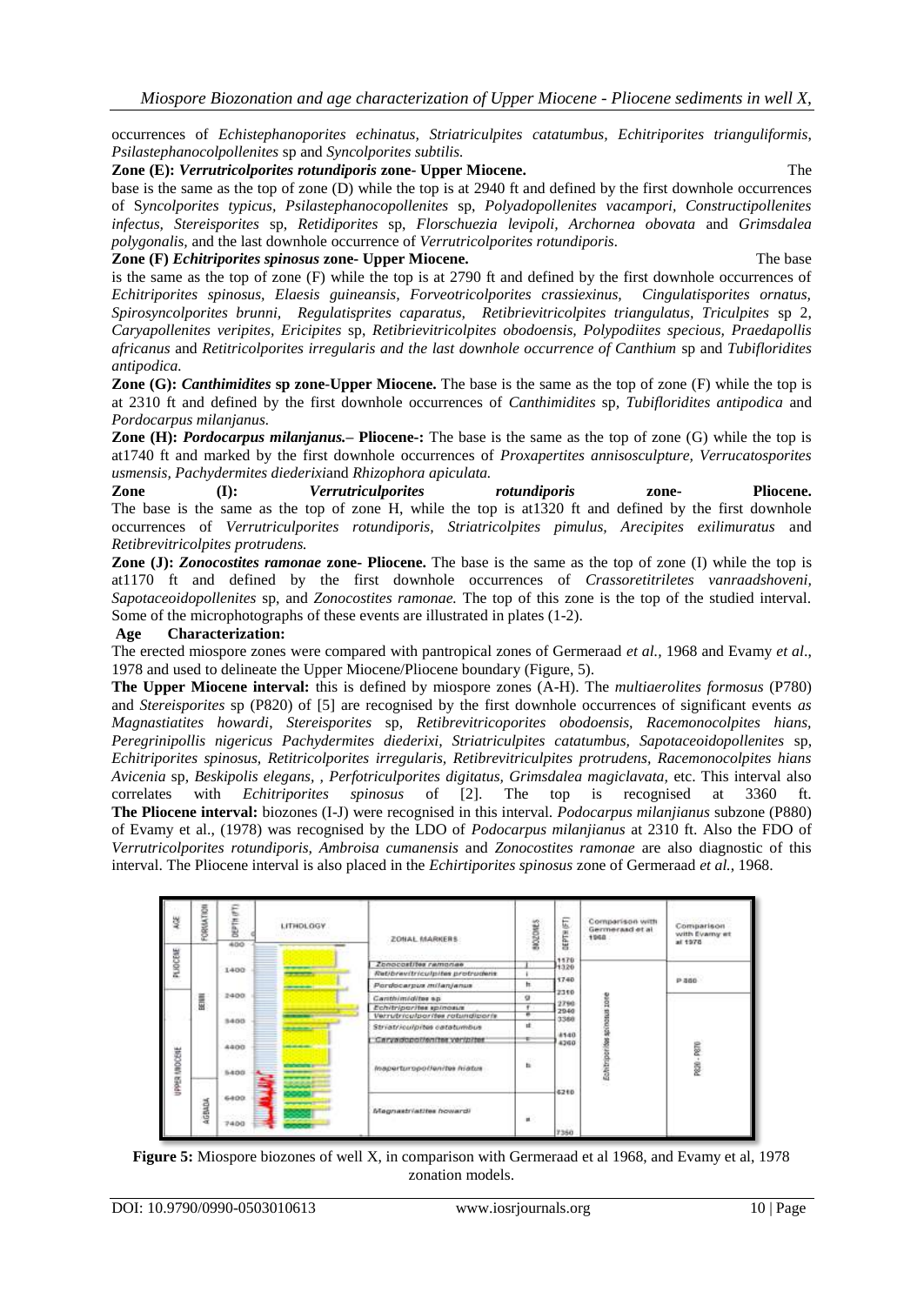occurrences of *Echistephanoporites echinatus, Striatriculpites catatumbus, Echitriporites trianguliformis*, *Psilastephanocolpollenites* sp and *Syncolporites subtilis.*

#### **Zone (E):** *Verrutricolporites rotundiporis* **zone- Upper Miocene.**

base is the same as the top of zone (D) while the top is at 2940 ft and defined by the first downhole occurrences of S*yncolporites typicus, Psilastephanocopollenites* sp, *Polyadopollenites vacampori, Constructipollenites infectus, Stereisporites* sp, *Retidiporites* sp, *Florschuezia levipoli, Archornea obovata* and *Grimsdalea polygonalis,* and the last downhole occurrence of *Verrutricolporites rotundiporis.*

#### **Zone (F)** *Echitriporites spinosus* **zone- Upper Miocene.** The base

is the same as the top of zone (F) while the top is at 2790 ft and defined by the first downhole occurrences of *Echitriporites spinosus, Elaesis guineansis, Forveotricolporites crassiexinus, Cingulatisporites ornatus, Spirosyncolporites brunni, Regulatisprites caparatus, Retibrievitricolpites triangulatus, Triculpites* sp 2, *Caryapollenites veripites, Ericipites* sp, *Retibrievitricolpites obodoensis, Polypodiites specious, Praedapollis africanus* and *Retitricolporites irregularis and the last downhole occurrence of Canthium* sp and *Tubifloridites antipodica.*

**Zone (G):** *Canthimidites* **sp zone**-**Upper Miocene.** The base is the same as the top of zone (F) while the top is at 2310 ft and defined by the first downhole occurrences of *Canthimidites* sp*, Tubifloridites antipodica* and *Pordocarpus milanjanus.*

**Zone (H):** *Pordocarpus milanjanus.***– Pliocene-:** The base is the same as the top of zone (G) while the top is at1740 ft and marked by the first downhole occurrences of *Proxapertites annisosculpture, Verrucatosporites usmensis, Pachydermites diederixi*and *Rhizophora apiculata.*

**Zone (I):** *Verrutriculporites rotundiporis* **zone- Pliocene.**  The base is the same as the top of zone H, while the top is at1320 ft and defined by the first downhole occurrences of *Verrutriculporites rotundiporis, Striatricolpites pimulus, Arecipites exilimuratus* and *Retibrevitricolpites protrudens.*

**Zone (J):** *Zonocostites ramonae* **zone- Pliocene.** The base is the same as the top of zone (I) while the top is at1170 ft and defined by the first downhole occurrences of *Crassoretitriletes vanraadshoveni, Sapotaceoidopollenites* sp, and *Zonocostites ramonae.* The top of this zone is the top of the studied interval. Some of the microphotographs of these events are illustrated in plates (1-2).

#### **Age Characterization:**

The erected miospore zones were compared with pantropical zones of Germeraad *et al.,* 1968 and Evamy *et al*., 1978 and used to delineate the Upper Miocene/Pliocene boundary (Figure, 5).

**The Upper Miocene interval:** this is defined by miospore zones (A-H). The *multiaerolites formosus* (P780) and *Stereisporites* sp (P820) of [5] are recognised by the first downhole occurrences of significant events *as Magnastiatites howardi*, *Stereisporites* sp, *Retibrevitricoporites obodoensis, Racemonocolpites hians, Peregrinipollis nigericus Pachydermites diederixi, Striatriculpites catatumbus, Sapotaceoidopollenites* sp, *Echitriporites spinosus, Retitricolporites irregularis, Retibrevitriculpites protrudens, Racemonocolpites hians Avicenia* sp, *Beskipolis elegans, , Perfotriculporites digitatus, Grimsdalea magiclavata,* etc. This interval also correlates with *Echitriporites spinosus* of [2]. The top is recognised at 3360 ft. **The Pliocene interval:** biozones (I-J) were recognised in this interval. *Podocarpus milanjianus* subzone (P880) of Evamy et al., (1978) was recognised by the LDO of *Podocarpus milanjianus* at 2310 ft. Also the FDO of *Verrutricolporites rotundiporis, Ambroisa cumanensis* and *Zonocostites ramonae* are also diagnostic of this interval. The Pliocene interval is also placed in the *Echirtiporites spinosus* zone of Germeraad *et al.*, 1968.

| 鬘             | FORMATION | <b>CLA RLARC</b>  | LITHDLOGY                 | ZONAL MARKERS                                                                            | succonts          | <b>GEPTHIET</b>                                      | Comparison with<br>Germeraad et al.<br>1968<br>--- | and the state<br>Comparison<br>with Evamy et<br>at 1976 |
|---------------|-----------|-------------------|---------------------------|------------------------------------------------------------------------------------------|-------------------|------------------------------------------------------|----------------------------------------------------|---------------------------------------------------------|
| PLIOCENE      |           | 400<br>m          | ----                      |                                                                                          |                   | 1170<br>1320                                         |                                                    |                                                         |
|               |           | 1400              |                           | Zonocostites ramonae                                                                     |                   |                                                      | 1740<br>2310                                       | <b>STORAGE</b><br>P 300                                 |
|               |           |                   | ___                       | Ret/brevitriculpites protrudens.                                                         |                   |                                                      |                                                    |                                                         |
|               |           |                   |                           | Perdocarpus milanjanus                                                                   | h.                |                                                      |                                                    |                                                         |
|               | ETHI      | 2400              |                           | Canthimidites sp.                                                                        | ü                 |                                                      |                                                    |                                                         |
|               |           |                   |                           | Echitriporites spinosus                                                                  | 2790<br>¥<br>2940 |                                                      |                                                    |                                                         |
| UPPER NHOCENE |           | anagy<br>3400     |                           | Verrutriculporites ratundiporis.                                                         | Ŧ                 | Echitriporides spinosus zone<br>3368<br>4140<br>4260 |                                                    |                                                         |
|               |           |                   | $- -$                     | Striatriculpites catatumbus                                                              | ut.               |                                                      |                                                    | ę<br>ġ                                                  |
|               |           | <b>CONTRACTOR</b> |                           | Caryadopotismites verwittes<br>Insperturopol/en/tel history<br>1.바이 부터에다 알 사용되다 사이트 24개의 |                   |                                                      |                                                    |                                                         |
|               |           | 4400              | ----                      |                                                                                          | 12)<br>ti.        |                                                      |                                                    |                                                         |
|               |           | 5400              | <b>CONTRACTOR</b><br>---- |                                                                                          |                   |                                                      |                                                    |                                                         |
|               | AGBADA    |                   | ----<br><b>BORDER</b>     |                                                                                          |                   |                                                      |                                                    |                                                         |
|               |           | 6400              |                           |                                                                                          |                   | 6210                                                 |                                                    |                                                         |
|               |           |                   | ___                       | Magnastriatites howardi                                                                  |                   |                                                      |                                                    |                                                         |
|               |           |                   |                           |                                                                                          | ü.                |                                                      |                                                    |                                                         |
|               |           | 7400              |                           |                                                                                          |                   |                                                      |                                                    |                                                         |
|               |           |                   |                           |                                                                                          |                   | 7350                                                 |                                                    |                                                         |

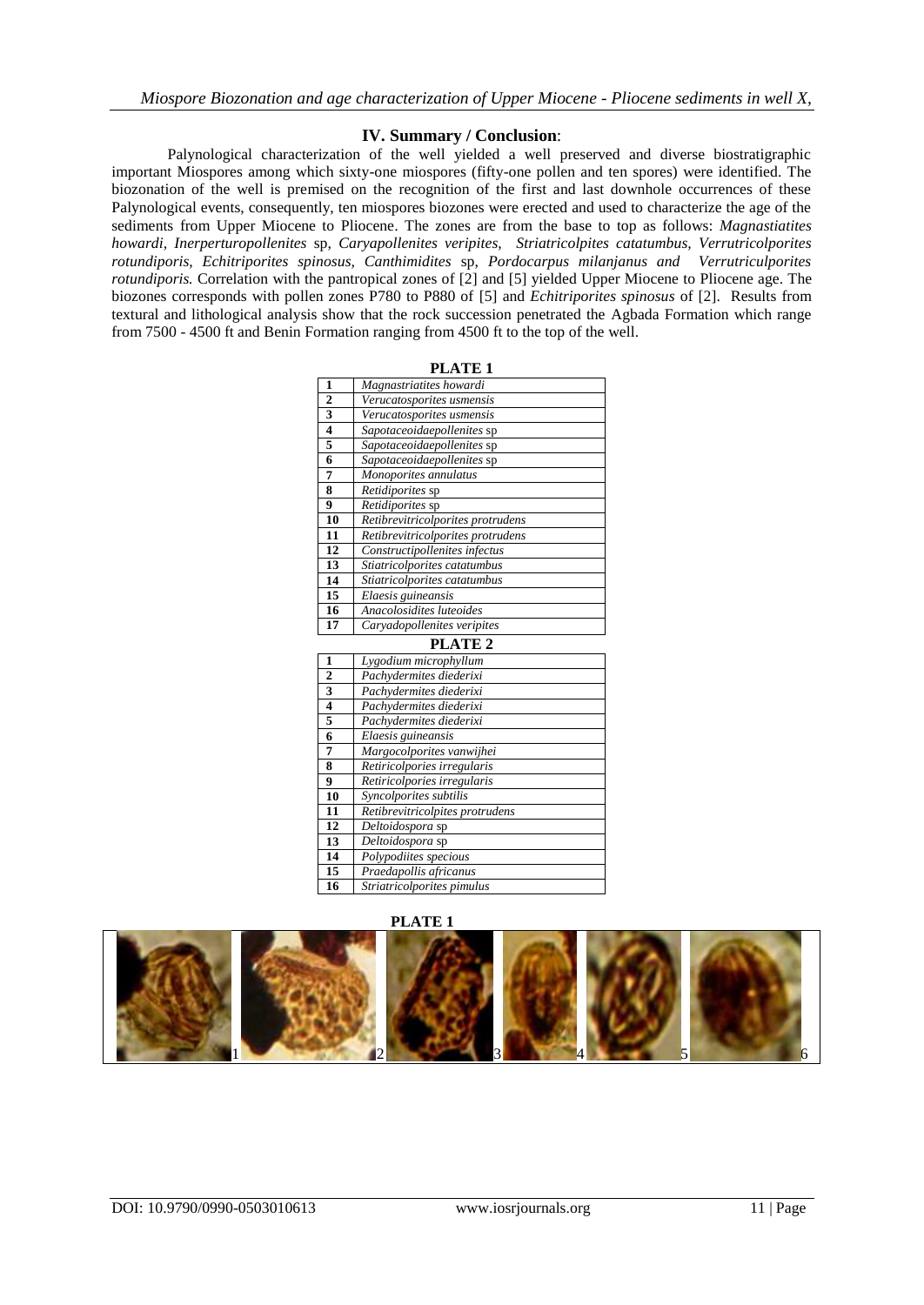### **IV. Summary / Conclusion**:

Palynological characterization of the well yielded a well preserved and diverse biostratigraphic important Miospores among which sixty-one miospores (fifty-one pollen and ten spores) were identified. The biozonation of the well is premised on the recognition of the first and last downhole occurrences of these Palynological events, consequently, ten miospores biozones were erected and used to characterize the age of the sediments from Upper Miocene to Pliocene. The zones are from the base to top as follows: *Magnastiatites howardi, Inerperturopollenites* sp, *Caryapollenites veripites, Striatricolpites catatumbus, Verrutricolporites rotundiporis, Echitriporites spinosus, Canthimidites* sp, *Pordocarpus milanjanus and Verrutriculporites rotundiporis.* Correlation with the pantropical zones of [2] and [5] yielded Upper Miocene to Pliocene age. The biozones corresponds with pollen zones P780 to P880 of [5] and *Echitriporites spinosus* of [2]. Results from textural and lithological analysis show that the rock succession penetrated the Agbada Formation which range from 7500 - 4500 ft and Benin Formation ranging from 4500 ft to the top of the well.

| <b>PLATE 1</b>          |                                   |  |  |  |  |  |
|-------------------------|-----------------------------------|--|--|--|--|--|
| 1                       | Magnastriatites howardi           |  |  |  |  |  |
| $\overline{2}$          | Verucatosporites usmensis         |  |  |  |  |  |
| $\overline{\mathbf{3}}$ | Verucatosporites usmensis         |  |  |  |  |  |
| $\overline{\mathbf{4}}$ | Sapotaceoidaepollenites sp        |  |  |  |  |  |
| 5                       | Sapotaceoidaepollenites sp        |  |  |  |  |  |
| $\overline{6}$          | Sapotaceoidaepollenites sp        |  |  |  |  |  |
| 7                       | Monoporites annulatus             |  |  |  |  |  |
| 8                       | Retidiporites sp                  |  |  |  |  |  |
| 9                       | Retidiporites sp                  |  |  |  |  |  |
| 10                      | Retibrevitricolporites protrudens |  |  |  |  |  |
| 11                      | Retibrevitricolporites protrudens |  |  |  |  |  |
| 12                      | Constructipollenites infectus     |  |  |  |  |  |
| 13                      | Stiatricolporites catatumbus      |  |  |  |  |  |
| 14                      | Stiatricolporites catatumbus      |  |  |  |  |  |
| 15                      | Elaesis guineansis                |  |  |  |  |  |
| 16                      | Anacolosidites luteoides          |  |  |  |  |  |
| 17                      | Caryadopollenites veripites       |  |  |  |  |  |
| PLATE <sub>2</sub>      |                                   |  |  |  |  |  |
| $\mathbf{1}$            | Lygodium microphyllum             |  |  |  |  |  |
| $\overline{2}$          | Pachydermites diederixi           |  |  |  |  |  |
| $\overline{\mathbf{3}}$ | Pachydermites diederixi           |  |  |  |  |  |
| $\overline{\mathbf{4}}$ | Pachydermites diederixi           |  |  |  |  |  |
| 5                       | Pachydermites diederixi           |  |  |  |  |  |
| 6                       | Elaesis guineansis                |  |  |  |  |  |
| 7                       | Margocolporites vanwijhei         |  |  |  |  |  |
| 8                       | Retiricolpories irregularis       |  |  |  |  |  |
| 9                       | Retiricolpories irregularis       |  |  |  |  |  |
| 10                      | Syncolporites subtilis            |  |  |  |  |  |
| 11                      | Retibrevitricolpites protrudens   |  |  |  |  |  |
| 12                      | Deltoidospora sp                  |  |  |  |  |  |
| 13                      | Deltoidospora sp                  |  |  |  |  |  |
| 14                      | Polypodiites specious             |  |  |  |  |  |
| 15                      | Praedapollis africanus            |  |  |  |  |  |
| 16                      | Striatricolporites pimulus        |  |  |  |  |  |

**PLATE 1**

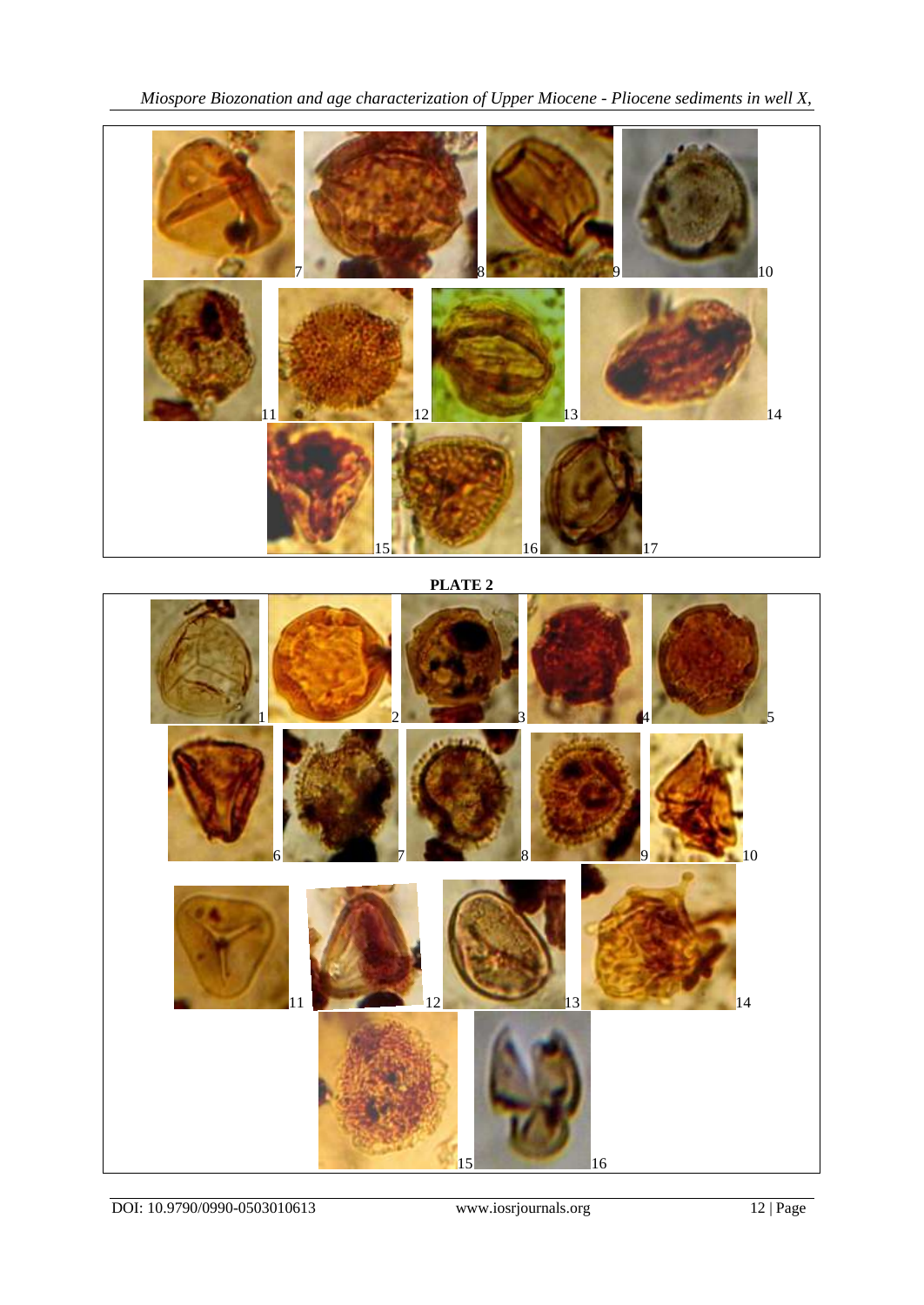*Miospore Biozonation and age characterization of Upper Miocene - Pliocene sediments in well X,* 



**PLATE 2**



DOI: 10.9790/0990-0503010613 www.iosrjournals.org 12 | Page